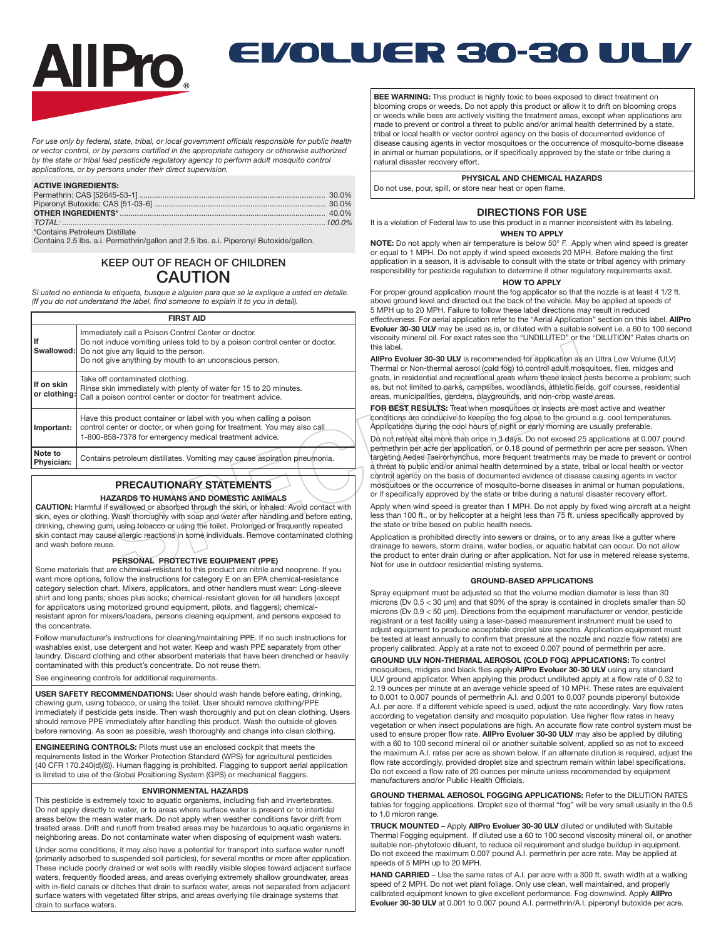

# EVOLUER 30-30 ULI/

*For use only by federal, state, tribal, or local government officials responsible for public health or vector control, or by persons certified in the appropriate category or otherwise authorized by the state or tribal lead pesticide regulatory agency to perform adult mosquito control applications, or by persons under their direct supervision.*

#### **ACTIVE INGREDIENTS:**

| *Containe Petroleum Dietillate |  |
|--------------------------------|--|

\*Contains Petroleum Distillate Contains 2.5 lbs. a.i. Permethrin/gallon and 2.5 lbs. a.i. Piperonyl Butoxide/gallon.

# KEEP OUT OF REACH OF CHILDREN CAUTION

*Si usted no entienda la etiqueta, busque a alguien para que se la explique a usted en detalle. (If you do not understand the label, find someone to explain it to you in detail).*

|                              | <b>FIRST AID</b>                                                                                                                                                                                                                                         |
|------------------------------|----------------------------------------------------------------------------------------------------------------------------------------------------------------------------------------------------------------------------------------------------------|
| lf                           | Immediately call a Poison Control Center or doctor.<br>Do not induce vomiting unless told to by a poison control center or doctor.<br><b>Swallowed:</b> Do not give any liquid to the person.<br>Do not give anything by mouth to an unconscious person. |
| If on skin<br>or clothing:   | Take off contaminated clothing.<br>Rinse skin immediately with plenty of water for 15 to 20 minutes.<br>Call a poison control center or doctor for treatment advice.                                                                                     |
| Important:                   | Have this product container or label with you when calling a poison<br>control center or doctor, or when going for treatment. You may also call<br>1-800-858-7378 for emergency medical treatment advice.                                                |
| Note to<br><b>Physician:</b> | Contains petroleum distillates. Vomiting may cause aspiration pneumonia.                                                                                                                                                                                 |

# **PRECAUTIONARY STATEMENTS**

## **HAZARDS TO HUMANS AND DOMESTIC ANIMALS**

**CAUTION:** Harmful if swallowed or absorbed through the skin, or inhaled. Avoid contact with skin, eyes or clothing. Wash thoroughly with soap and water after handling and before eating, drinking, chewing gum, using tobacco or using the toilet. Prolonged or frequently repeated skin contact may cause allergic reactions in some individuals. Remove contaminated clothing and wash before reuse.

## **PERSONAL PROTECTIVE EQUIPMENT (PPE)**

Some materials that are chemical-resistant to this product are nitrile and neoprene. If you want more options, follow the instructions for category E on an EPA chemical-resistance category selection chart. Mixers, applicators, and other handlers must wear: Long-sleeve shirt and long pants; shoes plus socks; chemical-resistant gloves for all handlers (except for applicators using motorized ground equipment, pilots, and flaggers); chemicalresistant apron for mixers/loaders, persons cleaning equipment, and persons exposed to the concentrate.

Follow manufacturer's instructions for cleaning/maintaining PPE. If no such instructions for washables exist, use detergent and hot water. Keep and wash PPE separately from other laundry. Discard clothing and other absorbent materials that have been drenched or heavily contaminated with this product's concentrate. Do not reuse them.

See engineering controls for additional requirements.

**USER SAFETY RECOMMENDATIONS:** User should wash hands before eating, drinking, chewing gum, using tobacco, or using the toilet. User should remove clothing/PPE immediately if pesticide gets inside. Then wash thoroughly and put on clean clothing. Users should remove PPE immediately after handling this product. Wash the outside of gloves before removing. As soon as possible, wash thoroughly and change into clean clothing.

**ENGINEERING CONTROLS:** Pilots must use an enclosed cockpit that meets the requirements listed in the Worker Protection Standard (WPS) for agricultural pesticides (40 CFR 170.240(d)(6)). Human flagging is prohibited. Flagging to support aerial application is limited to use of the Global Positioning System (GPS) or mechanical flaggers.

#### **ENVIRONMENTAL HAZARDS**

This pesticide is extremely toxic to aquatic organisms, including fish and invertebrates. Do not apply directly to water, or to areas where surface water is present or to intertidal areas below the mean water mark. Do not apply when weather conditions favor drift from treated areas. Drift and runoff from treated areas may be hazardous to aquatic organisms in neighboring areas. Do not contaminate water when disposing of equipment wash waters.

Under some conditions, it may also have a potential for transport into surface water runoff (primarily adsorbed to suspended soil particles), for several months or more after application. These include poorly drained or wet soils with readily visible slopes toward adjacent surface waters, frequently flooded areas, and areas overlying extremely shallow groundwater, areas with in-field canals or ditches that drain to surface water, areas not separated from adjacent surface waters with vegetated filter strips, and areas overlying tile drainage systems that drain to surface waters.

**BEE WARNING:** This product is highly toxic to bees exposed to direct treatment on blooming crops or weeds. Do not apply this product or allow it to drift on blooming crops or weeds while bees are actively visiting the treatment areas, except when applications are made to prevent or control a threat to public and/or animal health determined by a state, tribal or local health or vector control agency on the basis of documented evidence of disease causing agents in vector mosquitoes or the occurrence of mosquito-borne disease in animal or human populations, or if specifically approved by the state or tribe during a natural disaster recovery effort.

# **PHYSICAL AND CHEMICAL HAZARDS**

Do not use, pour, spill, or store near heat or open flame.

## **DIRECTIONS FOR USE**

It is a violation of Federal law to use this product in a manner inconsistent with its labeling.

# **WHEN TO APPLY**

**NOTE:** Do not apply when air temperature is below 50° F. Apply when wind speed is greater or equal to 1 MPH. Do not apply if wind speed exceeds 20 MPH. Before making the first application in a season, it is advisable to consult with the state or tribal agency with primary responsibility for pesticide regulation to determine if other regulatory requirements exist.

# **HOW TO APPLY**

For proper ground application mount the fog applicator so that the nozzle is at least 4 1/2 ft. above ground level and directed out the back of the vehicle. May be applied at speeds of 5 MPH up to 20 MPH. Failure to follow these label directions may result in reduced effectiveness. For aerial application refer to the "Aerial Application" section on this label. **AllPro Evoluer 30-30 ULV** may be used as is, or diluted with a suitable solvent i.e. a 60 to 100 second

viscosity mineral oil. For exact rates see the "UNDILUTED" or the "DILUTION" Rates charts on this label. **AllPro Evoluer 30-30 ULV** is recommended for application as an Ultra Low Volume (ULV)

Thermal or Non-thermal aerosol (cold fog) to control adult mosquitoes, flies, midges and gnats, in residential and recreational areas where these insect pests become a problem; such as, but not limited to parks, campsites, woodlands, athletic fields, golf courses, residential areas, municipalities, gardens, playgrounds, and non-crop waste areas.

**FOR BEST RESULTS:** Treat when mosquitoes or insects are most active and weather conditions are conducive to keeping the fog close to the ground e.g. cool temperatures. Applications during the cool hours of night or early morning are usually preferable.

Do not retreat site more than once in 3 days. Do not exceed 25 applications at 0.007 pound permethrin per acre per application, or 0.18 pound of permethrin per acre per season. When targeting Aedes Taeirorhynchus, more frequent treatments may be made to prevent or control a threat to public and/or animal health determined by a state, tribal or local health or vector control agency on the basis of documented evidence of disease causing agents in vector mosquitoes or the occurrence of mosquito-borne diseases in animal or human populations, or if specifically approved by the state or tribe during a natural disaster recovery effort.

Apply when wind speed is greater than 1 MPH. Do not apply by fixed wing aircraft at a height less than 100 ft., or by helicopter at a height less than 75 ft. unless specifically approved by the state or tribe based on public health needs.

Application is prohibited directly into sewers or drains, or to any areas like a gutter where drainage to sewers, storm drains, water bodies, or aquatic habitat can occur. Do not allow the product to enter drain during or after application. Not for use in metered release systems. Not for use in outdoor residential misting systems.

#### **GROUND-BASED APPLICATIONS**

Spray equipment must be adjusted so that the volume median diameter is less than 30 microns (Dv 0.5 < 30 μm) and that 90% of the spray is contained in droplets smaller than 50 microns (Dv 0.9 < 50 μm). Directions from the equipment manufacturer or vendor, pesticide registrant or a test facility using a laser-based measurement instrument must be used to adjust equipment to produce acceptable droplet size spectra. Application equipment must be tested at least annually to confirm that pressure at the nozzle and nozzle flow rate(s) are properly calibrated. Apply at a rate not to exceed 0.007 pound of permethrin per acre.

**GROUND ULV NON-THERMAL AEROSOL (COLD FOG) APPLICATIONS:** To control mosquitoes, midges and black flies apply **AllPro Evoluer 30-30 ULV** using any standard ULV ground applicator. When applying this product undiluted apply at a flow rate of 0.32 to 2.19 ounces per minute at an average vehicle speed of 10 MPH. These rates are equivalent to 0.001 to 0.007 pounds of permethrin A.I. and 0.001 to 0.007 pounds piperonyl butoxide A.I. per acre. If a different vehicle speed is used, adjust the rate accordingly. Vary flow rates according to vegetation density and mosquito population. Use higher flow rates in heavy vegetation or when insect populations are high. An accurate flow rate control system must be used to ensure proper flow rate. **AllPro Evoluer 30-30 ULV** may also be applied by diluting with a 60 to 100 second mineral oil or another suitable solvent, applied so as not to exceed the maximum A.I. rates per acre as shown below. If an alternate dilution is required, adjust the flow rate accordingly, provided droplet size and spectrum remain within label specifications. Do not exceed a flow rate of 20 ounces per minute unless recommended by equipment manufacturers and/or Public Health Officials.

**GROUND THERMAL AEROSOL FOGGING APPLICATIONS:** Refer to the DILUTION RATES tables for fogging applications. Droplet size of thermal "fog" will be very small usually in the 0.5 to 1.0 micron range.

**TRUCK MOUNTED** – Apply **AllPro Evoluer 30-30 ULV** diluted or undiluted with Suitable Thermal Fogging equipment. If diluted use a 60 to 100 second viscosity mineral oil, or another suitable non-phytotoxic diluent, to reduce oil requirement and sludge buildup in equipment. Do not exceed the maximum 0.007 pound A.I. permethrin per acre rate. May be applied at speeds of 5 MPH up to 20 MPH.

**HAND CARRIED** – Use the same rates of A.I. per acre with a 300 ft. swath width at a walking speed of 2 MPH. Do not wet plant foliage. Only use clean, well maintained, and properly calibrated equipment known to give excellent performance. Fog downwind. Apply **AllPro Evoluer 30-30 ULV** at 0.001 to 0.007 pound A.I. permethrin/A.I. piperonyl butoxide per acre.